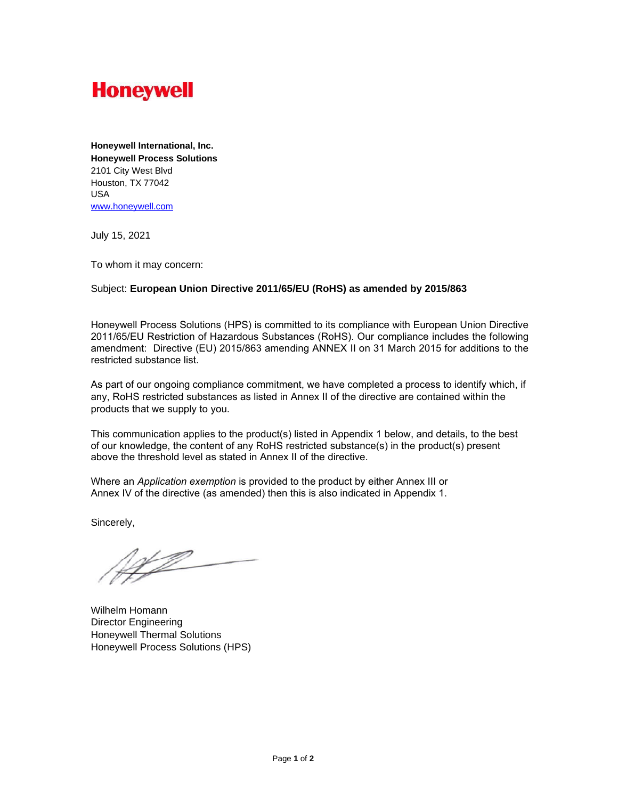

**Honeywell International, Inc. Honeywell Process Solutions** 2101 City West Blvd Houston, TX 77042 USA [www.honeywell.com](http://www.honeywell.com/)

July 15, 2021

To whom it may concern:

## Subject: **European Union Directive 2011/65/EU (RoHS) as amended by 2015/863**

Honeywell Process Solutions (HPS) is committed to its compliance with European Union Directive 2011/65/EU Restriction of Hazardous Substances (RoHS). Our compliance includes the following amendment: Directive (EU) 2015/863 amending ANNEX II on 31 March 2015 for additions to the restricted substance list.

As part of our ongoing compliance commitment, we have completed a process to identify which, if any, RoHS restricted substances as listed in Annex II of the directive are contained within the products that we supply to you.

This communication applies to the product(s) listed in Appendix 1 below, and details, to the best of our knowledge, the content of any RoHS restricted substance(s) in the product(s) present above the threshold level as stated in Annex II of the directive.

Where an *Application exemption* is provided to the product by either Annex III or Annex IV of the directive (as amended) then this is also indicated in Appendix 1.

Sincerely,

<u>NP</u>

Wilhelm Homann Director Engineering Honeywell Thermal Solutions Honeywell Process Solutions (HPS)